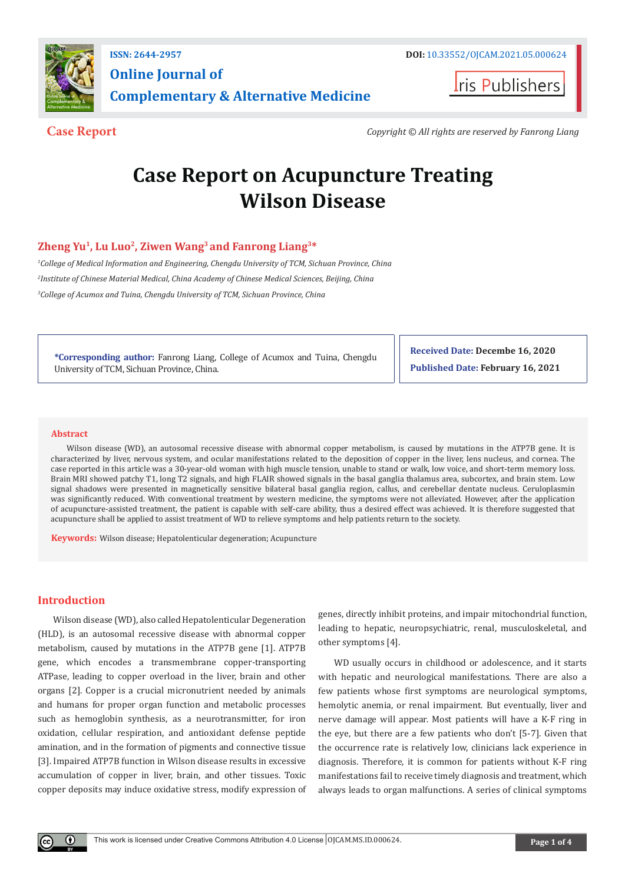

**Iris Publishers** 

**Case Report** *Copyright © All rights are reserved by Fanrong Liang*

# **Case Report on Acupuncture Treating Wilson Disease**

## **Zheng Yu1, Lu Luo2, Ziwen Wang3 and Fanrong Liang3\***

*1 College of Medical Information and Engineering, Chengdu University of TCM, Sichuan Province, China 2 Institute of Chinese Material Medical, China Academy of Chinese Medical Sciences, Beijing, China 3 College of Acumox and Tuina, Chengdu University of TCM, Sichuan Province, China*

**\*Corresponding author:** Fanrong Liang, College of Acumox and Tuina, Chengdu University of TCM, Sichuan Province, China.

**Received Date: Decembe 16, 2020 Published Date: February 16, 2021**

#### **Abstract**

Wilson disease (WD), an autosomal recessive disease with abnormal copper metabolism, is caused by mutations in the ATP7B gene. It is characterized by liver, nervous system, and ocular manifestations related to the deposition of copper in the liver, lens nucleus, and cornea. The case reported in this article was a 30-year-old woman with high muscle tension, unable to stand or walk, low voice, and short-term memory loss. Brain MRI showed patchy T1, long T2 signals, and high FLAIR showed signals in the basal ganglia thalamus area, subcortex, and brain stem. Low signal shadows were presented in magnetically sensitive bilateral basal ganglia region, callus, and cerebellar dentate nucleus. Ceruloplasmin was significantly reduced. With conventional treatment by western medicine, the symptoms were not alleviated. However, after the application of acupuncture-assisted treatment, the patient is capable with self-care ability, thus a desired effect was achieved. It is therefore suggested that acupuncture shall be applied to assist treatment of WD to relieve symptoms and help patients return to the society.

**Keywords:** Wilson disease; Hepatolenticular degeneration; Acupuncture

#### **Introduction**

 $\bf{0}$ 

Wilson disease (WD), also called Hepatolenticular Degeneration (HLD), is an autosomal recessive disease with abnormal copper metabolism, caused by mutations in the ATP7B gene [1]. ATP7B gene, which encodes a transmembrane copper-transporting ATPase, leading to copper overload in the liver, brain and other organs [2]. Copper is a crucial micronutrient needed by animals and humans for proper organ function and metabolic processes such as hemoglobin synthesis, as a neurotransmitter, for iron oxidation, cellular respiration, and antioxidant defense peptide amination, and in the formation of pigments and connective tissue [3]. Impaired ATP7B function in Wilson disease results in excessive accumulation of copper in liver, brain, and other tissues. Toxic copper deposits may induce oxidative stress, modify expression of genes, directly inhibit proteins, and impair mitochondrial function, leading to hepatic, neuropsychiatric, renal, musculoskeletal, and other symptoms [4].

WD usually occurs in childhood or adolescence, and it starts with hepatic and neurological manifestations. There are also a few patients whose first symptoms are neurological symptoms, hemolytic anemia, or renal impairment. But eventually, liver and nerve damage will appear. Most patients will have a K-F ring in the eye, but there are a few patients who don't [5-7]. Given that the occurrence rate is relatively low, clinicians lack experience in diagnosis. Therefore, it is common for patients without K-F ring manifestations fail to receive timely diagnosis and treatment, which always leads to organ malfunctions. A series of clinical symptoms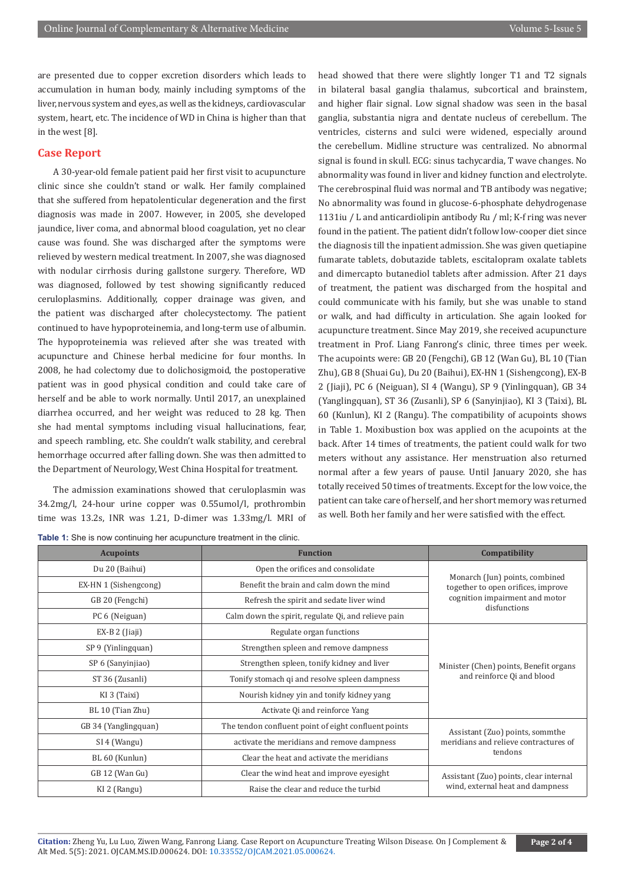are presented due to copper excretion disorders which leads to accumulation in human body, mainly including symptoms of the liver, nervous system and eyes, as well as the kidneys, cardiovascular system, heart, etc. The incidence of WD in China is higher than that in the west [8].

#### **Case Report**

A 30-year-old female patient paid her first visit to acupuncture clinic since she couldn't stand or walk. Her family complained that she suffered from hepatolenticular degeneration and the first diagnosis was made in 2007. However, in 2005, she developed jaundice, liver coma, and abnormal blood coagulation, yet no clear cause was found. She was discharged after the symptoms were relieved by western medical treatment. In 2007, she was diagnosed with nodular cirrhosis during gallstone surgery. Therefore, WD was diagnosed, followed by test showing significantly reduced ceruloplasmins. Additionally, copper drainage was given, and the patient was discharged after cholecystectomy. The patient continued to have hypoproteinemia, and long-term use of albumin. The hypoproteinemia was relieved after she was treated with acupuncture and Chinese herbal medicine for four months. In 2008, he had colectomy due to dolichosigmoid, the postoperative patient was in good physical condition and could take care of herself and be able to work normally. Until 2017, an unexplained diarrhea occurred, and her weight was reduced to 28 kg. Then she had mental symptoms including visual hallucinations, fear, and speech rambling, etc. She couldn't walk stability, and cerebral hemorrhage occurred after falling down. She was then admitted to the Department of Neurology, West China Hospital for treatment.

The admission examinations showed that ceruloplasmin was 34.2mg/l, 24-hour urine copper was 0.55umol/l, prothrombin time was 13.2s, INR was 1.21, D-dimer was 1.33mg/l. MRI of

**Table 1:** She is now continuing her acupuncture treatment in the clinic.

head showed that there were slightly longer T1 and T2 signals in bilateral basal ganglia thalamus, subcortical and brainstem, and higher flair signal. Low signal shadow was seen in the basal ganglia, substantia nigra and dentate nucleus of cerebellum. The ventricles, cisterns and sulci were widened, especially around the cerebellum. Midline structure was centralized. No abnormal signal is found in skull. ECG: sinus tachycardia, T wave changes. No abnormality was found in liver and kidney function and electrolyte. The cerebrospinal fluid was normal and TB antibody was negative; No abnormality was found in glucose-6-phosphate dehydrogenase 1131iu / L and anticardiolipin antibody Ru / ml; K-f ring was never found in the patient. The patient didn't follow low-cooper diet since the diagnosis till the inpatient admission. She was given quetiapine fumarate tablets, dobutazide tablets, escitalopram oxalate tablets and dimercapto butanediol tablets after admission. After 21 days of treatment, the patient was discharged from the hospital and could communicate with his family, but she was unable to stand or walk, and had difficulty in articulation. She again looked for acupuncture treatment. Since May 2019, she received acupuncture treatment in Prof. Liang Fanrong's clinic, three times per week. The acupoints were: GB 20 (Fengchi), GB 12 (Wan Gu), BL 10 (Tian Zhu), GB 8 (Shuai Gu), Du 20 (Baihui), EX-HN 1 (Sishengcong), EX-B 2 (Jiaji), PC 6 (Neiguan), SI 4 (Wangu), SP 9 (Yinlingquan), GB 34 (Yanglingquan), ST 36 (Zusanli), SP 6 (Sanyinjiao), KI 3 (Taixi), BL 60 (Kunlun), KI 2 (Rangu). The compatibility of acupoints shows in Table 1. Moxibustion box was applied on the acupoints at the back. After 14 times of treatments, the patient could walk for two meters without any assistance. Her menstruation also returned normal after a few years of pause. Until January 2020, she has totally received 50 times of treatments. Except for the low voice, the patient can take care of herself, and her short memory was returned as well. Both her family and her were satisfied with the effect.

| <b>Acupoints</b>      | <b>Function</b>                                      | Compatibility                                                                                                          |
|-----------------------|------------------------------------------------------|------------------------------------------------------------------------------------------------------------------------|
| Du 20 (Baihui)        | Open the orifices and consolidate                    | Monarch (Jun) points, combined<br>together to open orifices, improve<br>cognition impairment and motor<br>disfunctions |
| EX-HN 1 (Sishengcong) | Benefit the brain and calm down the mind             |                                                                                                                        |
| GB 20 (Fengchi)       | Refresh the spirit and sedate liver wind             |                                                                                                                        |
| PC 6 (Neiguan)        | Calm down the spirit, regulate Qi, and relieve pain  |                                                                                                                        |
| $EX-B 2$ (Jiaji)      | Regulate organ functions                             | Minister (Chen) points, Benefit organs<br>and reinforce Qi and blood                                                   |
| SP 9 (Yinlingquan)    | Strengthen spleen and remove dampness                |                                                                                                                        |
| SP 6 (Sanyinjiao)     | Strengthen spleen, tonify kidney and liver           |                                                                                                                        |
| ST 36 (Zusanli)       | Tonify stomach qi and resolve spleen dampness        |                                                                                                                        |
| KI 3 (Taixi)          | Nourish kidney yin and tonify kidney yang            |                                                                                                                        |
| BL 10 (Tian Zhu)      | Activate Qi and reinforce Yang                       |                                                                                                                        |
| GB 34 (Yanglingquan)  | The tendon confluent point of eight confluent points | Assistant (Zuo) points, sommthe<br>meridians and relieve contractures of<br>tendons                                    |
| SI 4 (Wangu)          | activate the meridians and remove dampness           |                                                                                                                        |
| BL 60 (Kunlun)        | Clear the heat and activate the meridians            |                                                                                                                        |
| GB 12 (Wan Gu)        | Clear the wind heat and improve eyesight             | Assistant (Zuo) points, clear internal<br>wind, external heat and dampness                                             |
| KI 2 (Rangu)          | Raise the clear and reduce the turbid                |                                                                                                                        |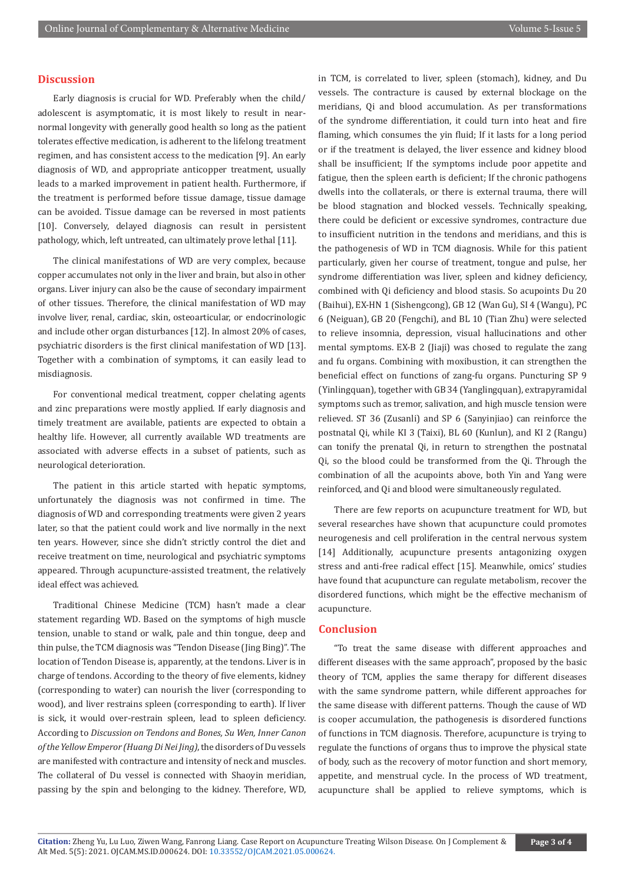#### **Discussion**

Early diagnosis is crucial for WD. Preferably when the child/ adolescent is asymptomatic, it is most likely to result in nearnormal longevity with generally good health so long as the patient tolerates effective medication, is adherent to the lifelong treatment regimen, and has consistent access to the medication [9]. An early diagnosis of WD, and appropriate anticopper treatment, usually leads to a marked improvement in patient health. Furthermore, if the treatment is performed before tissue damage, tissue damage can be avoided. Tissue damage can be reversed in most patients [10]. Conversely, delayed diagnosis can result in persistent pathology, which, left untreated, can ultimately prove lethal [11].

The clinical manifestations of WD are very complex, because copper accumulates not only in the liver and brain, but also in other organs. Liver injury can also be the cause of secondary impairment of other tissues. Therefore, the clinical manifestation of WD may involve liver, renal, cardiac, skin, osteoarticular, or endocrinologic and include other organ disturbances [12]. In almost 20% of cases, psychiatric disorders is the first clinical manifestation of WD [13]. Together with a combination of symptoms, it can easily lead to misdiagnosis.

For conventional medical treatment, copper chelating agents and zinc preparations were mostly applied. If early diagnosis and timely treatment are available, patients are expected to obtain a healthy life. However, all currently available WD treatments are associated with adverse effects in a subset of patients, such as neurological deterioration.

The patient in this article started with hepatic symptoms, unfortunately the diagnosis was not confirmed in time. The diagnosis of WD and corresponding treatments were given 2 years later, so that the patient could work and live normally in the next ten years. However, since she didn't strictly control the diet and receive treatment on time, neurological and psychiatric symptoms appeared. Through acupuncture-assisted treatment, the relatively ideal effect was achieved.

Traditional Chinese Medicine (TCM) hasn't made a clear statement regarding WD. Based on the symptoms of high muscle tension, unable to stand or walk, pale and thin tongue, deep and thin pulse, the TCM diagnosis was "Tendon Disease (Jing Bing)". The location of Tendon Disease is, apparently, at the tendons. Liver is in charge of tendons. According to the theory of five elements, kidney (corresponding to water) can nourish the liver (corresponding to wood), and liver restrains spleen (corresponding to earth). If liver is sick, it would over-restrain spleen, lead to spleen deficiency. According to *Discussion on Tendons and Bones, Su Wen, Inner Canon of the Yellow Emperor (Huang Di Nei Jing)*, the disorders of Du vessels are manifested with contracture and intensity of neck and muscles. The collateral of Du vessel is connected with Shaoyin meridian, passing by the spin and belonging to the kidney. Therefore, WD,

in TCM, is correlated to liver, spleen (stomach), kidney, and Du vessels. The contracture is caused by external blockage on the meridians, Qi and blood accumulation. As per transformations of the syndrome differentiation, it could turn into heat and fire flaming, which consumes the yin fluid; If it lasts for a long period or if the treatment is delayed, the liver essence and kidney blood shall be insufficient; If the symptoms include poor appetite and fatigue, then the spleen earth is deficient; If the chronic pathogens dwells into the collaterals, or there is external trauma, there will be blood stagnation and blocked vessels. Technically speaking, there could be deficient or excessive syndromes, contracture due to insufficient nutrition in the tendons and meridians, and this is the pathogenesis of WD in TCM diagnosis. While for this patient particularly, given her course of treatment, tongue and pulse, her syndrome differentiation was liver, spleen and kidney deficiency, combined with Qi deficiency and blood stasis. So acupoints Du 20 (Baihui), EX-HN 1 (Sishengcong), GB 12 (Wan Gu), SI 4 (Wangu), PC 6 (Neiguan), GB 20 (Fengchi), and BL 10 (Tian Zhu) were selected to relieve insomnia, depression, visual hallucinations and other mental symptoms. EX-B 2 (Jiaji) was chosed to regulate the zang and fu organs. Combining with moxibustion, it can strengthen the beneficial effect on functions of zang-fu organs. Puncturing SP 9 (Yinlingquan), together with GB 34 (Yanglingquan), extrapyramidal symptoms such as tremor, salivation, and high muscle tension were relieved. ST 36 (Zusanli) and SP 6 (Sanyinjiao) can reinforce the postnatal Qi, while KI 3 (Taixi), BL 60 (Kunlun), and KI 2 (Rangu) can tonify the prenatal Qi, in return to strengthen the postnatal Qi, so the blood could be transformed from the Qi. Through the combination of all the acupoints above, both Yin and Yang were reinforced, and Qi and blood were simultaneously regulated.

There are few reports on acupuncture treatment for WD, but several researches have shown that acupuncture could promotes neurogenesis and cell proliferation in the central nervous system [14] Additionally, acupuncture presents antagonizing oxygen stress and anti-free radical effect [15]. Meanwhile, omics' studies have found that acupuncture can regulate metabolism, recover the disordered functions, which might be the effective mechanism of acupuncture.

#### **Conclusion**

"To treat the same disease with different approaches and different diseases with the same approach", proposed by the basic theory of TCM, applies the same therapy for different diseases with the same syndrome pattern, while different approaches for the same disease with different patterns. Though the cause of WD is cooper accumulation, the pathogenesis is disordered functions of functions in TCM diagnosis. Therefore, acupuncture is trying to regulate the functions of organs thus to improve the physical state of body, such as the recovery of motor function and short memory, appetite, and menstrual cycle. In the process of WD treatment, acupuncture shall be applied to relieve symptoms, which is